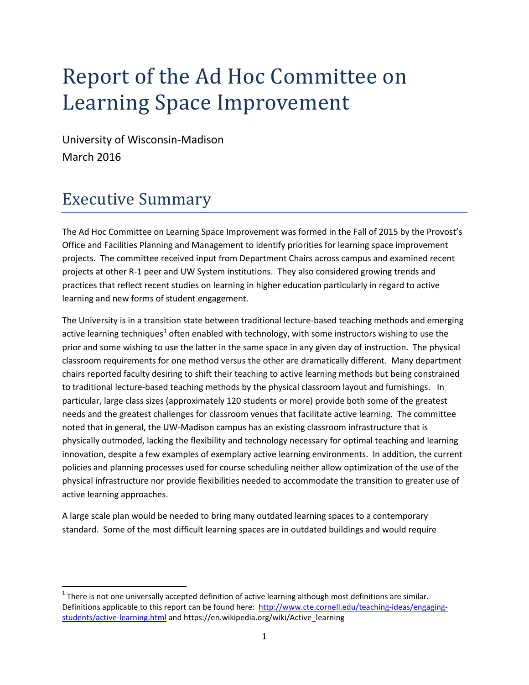# Report of the Ad Hoc Committee on Learning Space Improvement

University of Wisconsin-Madison March 2016

## Executive Summary

The Ad Hoc Committee on Learning Space Improvement was formed in the Fall of 2015 by the Provost's Office and Facilities Planning and Management to identify priorities for learning space improvement projects. The committee received input from Department Chairs across campus and examined recent projects at other R-1 peer and UW System institutions. They also considered growing trends and practices that reflect recent studies on learning in higher education particularly in regard to active learning and new forms of student engagement.

The University is in a transition state between traditional lecture-based teaching methods and emerging active learning techniques<sup>[1](#page-0-0)</sup> often enabled with technology, with some instructors wishing to use the prior and some wishing to use the latter in the same space in any given day of instruction. The physical classroom requirements for one method versus the other are dramatically different. Many department chairs reported faculty desiring to shift their teaching to active learning methods but being constrained to traditional lecture-based teaching methods by the physical classroom layout and furnishings. In particular, large class sizes (approximately 120 students or more) provide both some of the greatest needs and the greatest challenges for classroom venues that facilitate active learning. The committee noted that in general, the UW-Madison campus has an existing classroom infrastructure that is physically outmoded, lacking the flexibility and technology necessary for optimal teaching and learning innovation, despite a few examples of exemplary active learning environments. In addition, the current policies and planning processes used for course scheduling neither allow optimization of the use of the physical infrastructure nor provide flexibilities needed to accommodate the transition to greater use of active learning approaches.

A large scale plan would be needed to bring many outdated learning spaces to a contemporary standard. Some of the most difficult learning spaces are in outdated buildings and would require

<span id="page-0-0"></span> $1$  There is not one universally accepted definition of active learning although most definitions are similar. Definitions applicable to this report can be found here: [http://www.cte.cornell.edu/teaching-ideas/engaging](http://www.cte.cornell.edu/teaching-ideas/engaging-students/active-learning.html)[students/active-learning.html](http://www.cte.cornell.edu/teaching-ideas/engaging-students/active-learning.html) and https://en.wikipedia.org/wiki/Active\_learning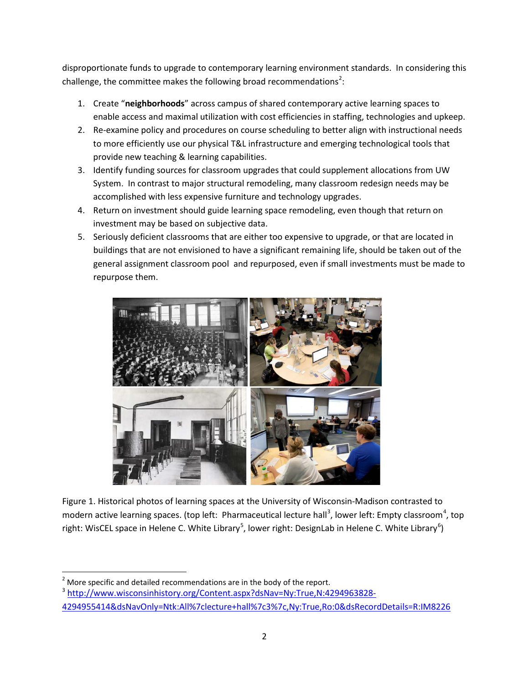disproportionate funds to upgrade to contemporary learning environment standards. In considering this challenge, the committee makes the following broad recommendations<sup>[2](#page-1-0)</sup>:

- 1. Create "**neighborhoods**" across campus of shared contemporary active learning spaces to enable access and maximal utilization with cost efficiencies in staffing, technologies and upkeep.
- 2. Re-examine policy and procedures on course scheduling to better align with instructional needs to more efficiently use our physical T&L infrastructure and emerging technological tools that provide new teaching & learning capabilities.
- 3. Identify funding sources for classroom upgrades that could supplement allocations from UW System. In contrast to major structural remodeling, many classroom redesign needs may be accomplished with less expensive furniture and technology upgrades.
- 4. Return on investment should guide learning space remodeling, even though that return on investment may be based on subjective data.
- 5. Seriously deficient classrooms that are either too expensive to upgrade, or that are located in buildings that are not envisioned to have a significant remaining life, should be taken out of the general assignment classroom pool and repurposed, even if small investments must be made to repurpose them.



Figure 1. Historical photos of learning spaces at the University of Wisconsin-Madison contrasted to modern active learning spaces. (top left: Pharmaceutical lecture hall<sup>[3](#page-1-1)</sup>, lower left: Empty classroom<sup>[4](#page-1-2)</sup>, top right: WisCEL space in Helene C. White Library<sup>[5](#page-1-3)</sup>, lower right: DesignLab in Helene C. White Library<sup>[6](#page-1-4)</sup>)

<span id="page-1-2"></span><span id="page-1-0"></span> $2^{2}$  More specific and detailed recommendations are in the body of the report.

<span id="page-1-3"></span><span id="page-1-1"></span><sup>&</sup>lt;sup>3</sup> [http://www.wisconsinhistory.org/Content.aspx?dsNav=Ny:True,N:4294963828-](http://www.wisconsinhistory.org/Content.aspx?dsNav=Ny:True,N:4294963828-4294955414&dsNavOnly=Ntk:All|lecture+hall|3|,Ny:True,Ro:0&dsRecordDetails=R:IM8226)

<span id="page-1-4"></span>[<sup>4294955414&</sup>amp;dsNavOnly=Ntk:All%7clecture+hall%7c3%7c,Ny:True,Ro:0&dsRecordDetails=R:IM8226](http://www.wisconsinhistory.org/Content.aspx?dsNav=Ny:True,N:4294963828-4294955414&dsNavOnly=Ntk:All|lecture+hall|3|,Ny:True,Ro:0&dsRecordDetails=R:IM8226)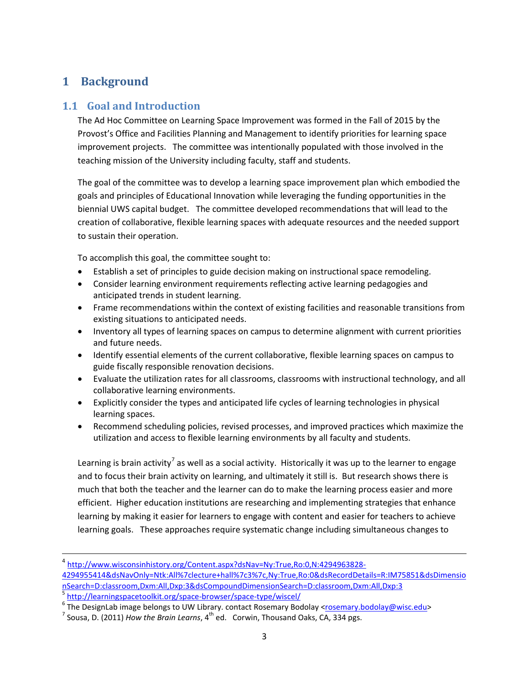## **1 Background**

## **1.1 Goal and Introduction**

The Ad Hoc Committee on Learning Space Improvement was formed in the Fall of 2015 by the Provost's Office and Facilities Planning and Management to identify priorities for learning space improvement projects. The committee was intentionally populated with those involved in the teaching mission of the University including faculty, staff and students.

The goal of the committee was to develop a learning space improvement plan which embodied the goals and principles of Educational Innovation while leveraging the funding opportunities in the biennial UWS capital budget. The committee developed recommendations that will lead to the creation of collaborative, flexible learning spaces with adequate resources and the needed support to sustain their operation.

To accomplish this goal, the committee sought to:

- Establish a set of principles to guide decision making on instructional space remodeling.
- Consider learning environment requirements reflecting active learning pedagogies and anticipated trends in student learning.
- Frame recommendations within the context of existing facilities and reasonable transitions from existing situations to anticipated needs.
- Inventory all types of learning spaces on campus to determine alignment with current priorities and future needs.
- Identify essential elements of the current collaborative, flexible learning spaces on campus to guide fiscally responsible renovation decisions.
- Evaluate the utilization rates for all classrooms, classrooms with instructional technology, and all collaborative learning environments.
- Explicitly consider the types and anticipated life cycles of learning technologies in physical learning spaces.
- Recommend scheduling policies, revised processes, and improved practices which maximize the utilization and access to flexible learning environments by all faculty and students.

Learning is brain activity<sup>[7](#page-2-0)</sup> as well as a social activity. Historically it was up to the learner to engage and to focus their brain activity on learning, and ultimately it still is. But research shows there is much that both the teacher and the learner can do to make the learning process easier and more efficient. Higher education institutions are researching and implementing strategies that enhance learning by making it easier for learners to engage with content and easier for teachers to achieve learning goals. These approaches require systematic change including simultaneous changes to

 <sup>4</sup> [http://www.wisconsinhistory.org/Content.aspx?dsNav=Ny:True,Ro:0,N:4294963828-](http://www.wisconsinhistory.org/Content.aspx?dsNav=Ny:True,Ro:0,N:4294963828-4294955414&dsNavOnly=Ntk:All|lecture+hall|3|,Ny:True,Ro:0&dsRecordDetails=R:IM75851&dsDimensionSearch=D:classroom,Dxm:All,Dxp:3&dsCompoundDimensionSearch=D:classroom,Dxm:All,Dxp:3)

[<sup>4294955414&</sup>amp;dsNavOnly=Ntk:All%7clecture+hall%7c3%7c,Ny:True,Ro:0&dsRecordDetails=R:IM75851&dsDimensio](http://www.wisconsinhistory.org/Content.aspx?dsNav=Ny:True,Ro:0,N:4294963828-4294955414&dsNavOnly=Ntk:All|lecture+hall|3|,Ny:True,Ro:0&dsRecordDetails=R:IM75851&dsDimensionSearch=D:classroom,Dxm:All,Dxp:3&dsCompoundDimensionSearch=D:classroom,Dxm:All,Dxp:3) [nSearch=D:classroom,Dxm:All,Dxp:3&dsCompoundDimensionSearch=D:classroom,Dxm:All,Dxp:3](http://www.wisconsinhistory.org/Content.aspx?dsNav=Ny:True,Ro:0,N:4294963828-4294955414&dsNavOnly=Ntk:All|lecture+hall|3|,Ny:True,Ro:0&dsRecordDetails=R:IM75851&dsDimensionSearch=D:classroom,Dxm:All,Dxp:3&dsCompoundDimensionSearch=D:classroom,Dxm:All,Dxp:3)

<sup>&</sup>lt;sup>5</sup> <http://learningspacetoolkit.org/space-browser/space-type/wiscel/><br><sup>6</sup> The DesignLab image belongs to UW Library. contact Rosemary Bodolay <<u>rosemary.bodolay@wisc.edu</u>><br><sup>7</sup> Sousa, D. (2011) *How the Brain Learns*, 4<sup>th</sup>

<span id="page-2-0"></span>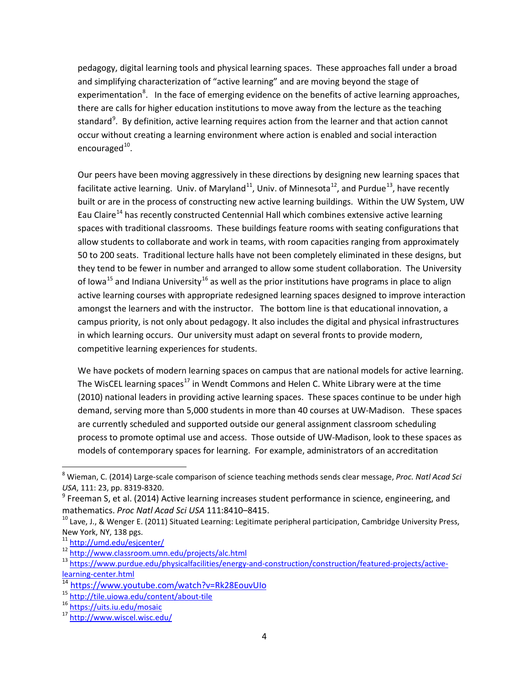pedagogy, digital learning tools and physical learning spaces. These approaches fall under a broad and simplifying characterization of "active learning" and are moving beyond the stage of experimentation<sup>[8](#page-3-0)</sup>. In the face of emerging evidence on the benefits of active learning approaches, there are calls for higher education institutions to move away from the lecture as the teaching standard $9$ . By definition, active learning requires action from the learner and that action cannot occur without creating a learning environment where action is enabled and social interaction encouraged $^{10}$  $^{10}$  $^{10}$ .

Our peers have been moving aggressively in these directions by designing new learning spaces that facilitate active learning. Univ. of Maryland<sup>[11](#page-3-3)</sup>, Univ. of Minnesota<sup>[12](#page-3-4)</sup>, and Purdue<sup>13</sup>, have recently built or are in the process of constructing new active learning buildings. Within the UW System, UW Eau Claire<sup>[14](#page-3-6)</sup> has recently constructed Centennial Hall which combines extensive active learning spaces with traditional classrooms. These buildings feature rooms with seating configurations that allow students to collaborate and work in teams, with room capacities ranging from approximately 50 to 200 seats. Traditional lecture halls have not been completely eliminated in these designs, but they tend to be fewer in number and arranged to allow some student collaboration. The University of Iowa<sup>[15](#page-3-7)</sup> and Indiana University<sup>[16](#page-3-8)</sup> as well as the prior institutions have programs in place to align active learning courses with appropriate redesigned learning spaces designed to improve interaction amongst the learners and with the instructor. The bottom line is that educational innovation, a campus priority, is not only about pedagogy. It also includes the digital and physical infrastructures in which learning occurs. Our university must adapt on several fronts to provide modern, competitive learning experiences for students.

We have pockets of modern learning spaces on campus that are national models for active learning. The WisCEL learning spaces<sup>[17](#page-3-9)</sup> in Wendt Commons and Helen C. White Library were at the time (2010) national leaders in providing active learning spaces. These spaces continue to be under high demand, serving more than 5,000 students in more than 40 courses at UW-Madison. These spaces are currently scheduled and supported outside our general assignment classroom scheduling process to promote optimal use and access. Those outside of UW-Madison, look to these spaces as models of contemporary spaces for learning. For example, administrators of an accreditation

<span id="page-3-0"></span> <sup>8</sup> Wieman, C. (2014) Large-scale comparison of science teaching methods sends clear message, *Proc. Natl Acad Sci USA*, 111: 23, pp. 8319-8320.

<span id="page-3-1"></span><sup>&</sup>lt;sup>9</sup> Freeman S, et al. (2014) Active learning increases student performance in science, engineering, and mathematics. *Proc Natl Acad Sci USA* 111:8410–8415.<br><sup>10</sup> Lave, J., & Wenger E. (2011) Situated Learning: Legitimate peripheral participation, Cambridge University Press,

<span id="page-3-2"></span>New York, NY, 138 pgs.<br><sup>11</sup> http://umd.edu/esjcenter/

<span id="page-3-5"></span><span id="page-3-4"></span><span id="page-3-3"></span><sup>12</sup> <http://www.classroom.umn.edu/projects/alc.html><br>13 https://www.purdue.edu/physicalfacilities/energy-and-construction/construction/featured-projects/active-<br>13 https://ww<u>w.purdue.edu/physicalfacilities/energy-and-constru</u> [learning-center.html](https://www.purdue.edu/physicalfacilities/energy-and-construction/construction/featured-projects/active-learning-center.html)

<span id="page-3-7"></span><span id="page-3-6"></span> $\frac{14 \text{ https://www.youtube.com/watch?v=Rk28EouvUlo}}{\text{http://tile.uiowa.edu/content/about-tile}}$  $\frac{14 \text{ https://www.youtube.com/watch?v=Rk28EouvUlo}}{\text{http://tile.uiowa.edu/content/about-tile}}$  $\frac{14 \text{ https://www.youtube.com/watch?v=Rk28EouvUlo}}{\text{http://tile.uiowa.edu/content/about-tile}}$ <sup>15</sup> http://tile.uiowa.edu/content/about-tile 16 <https://uits.iu.edu/mosaic>

<span id="page-3-8"></span>

<span id="page-3-9"></span>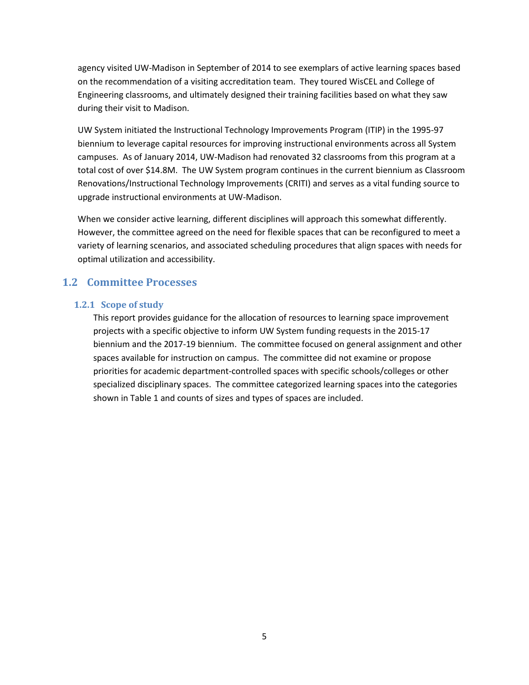agency visited UW-Madison in September of 2014 to see exemplars of active learning spaces based on the recommendation of a visiting accreditation team. They toured WisCEL and College of Engineering classrooms, and ultimately designed their training facilities based on what they saw during their visit to Madison.

UW System initiated the Instructional Technology Improvements Program (ITIP) in the 1995-97 biennium to leverage capital resources for improving instructional environments across all System campuses. As of January 2014, UW-Madison had renovated 32 classrooms from this program at a total cost of over \$14.8M. The UW System program continues in the current biennium as Classroom Renovations/Instructional Technology Improvements (CRITI) and serves as a vital funding source to upgrade instructional environments at UW-Madison.

When we consider active learning, different disciplines will approach this somewhat differently. However, the committee agreed on the need for flexible spaces that can be reconfigured to meet a variety of learning scenarios, and associated scheduling procedures that align spaces with needs for optimal utilization and accessibility.

## **1.2 Committee Processes**

#### **1.2.1 Scope of study**

This report provides guidance for the allocation of resources to learning space improvement projects with a specific objective to inform UW System funding requests in the 2015-17 biennium and the 2017-19 biennium. The committee focused on general assignment and other spaces available for instruction on campus. The committee did not examine or propose priorities for academic department-controlled spaces with specific schools/colleges or other specialized disciplinary spaces. The committee categorized learning spaces into the categories shown in Table 1 and counts of sizes and types of spaces are included.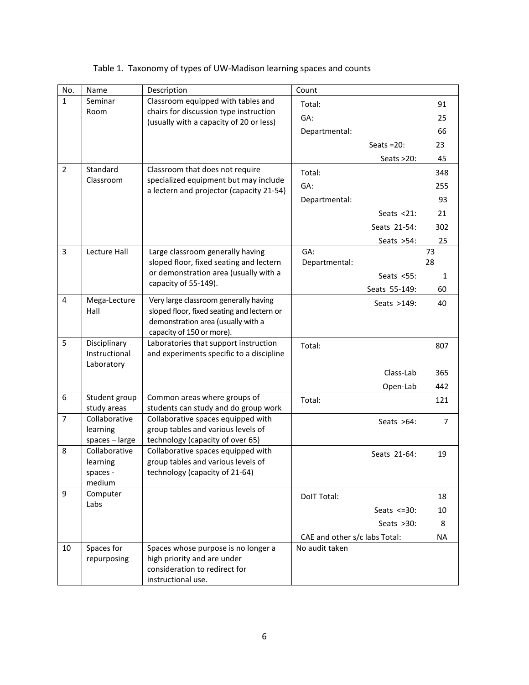| No.            | Name                            | Description                                                                       | Count                         |                |
|----------------|---------------------------------|-----------------------------------------------------------------------------------|-------------------------------|----------------|
| $\mathbf{1}$   | Seminar                         | Classroom equipped with tables and                                                | Total:                        | 91             |
|                | Room                            | chairs for discussion type instruction                                            | GA:                           | 25             |
|                |                                 | (usually with a capacity of 20 or less)                                           | Departmental:                 | 66             |
|                |                                 |                                                                                   | Seats $=20$ :                 | 23             |
|                |                                 |                                                                                   |                               | 45             |
| $\overline{2}$ | Standard                        | Classroom that does not require                                                   | Seats $>20$ :                 |                |
|                | Classroom                       | specialized equipment but may include<br>a lectern and projector (capacity 21-54) | Total:                        | 348            |
|                |                                 |                                                                                   | GA:                           | 255            |
|                |                                 |                                                                                   | Departmental:                 | 93             |
|                |                                 |                                                                                   | Seats $<$ 21:                 | 21             |
|                |                                 |                                                                                   | Seats 21-54:                  | 302            |
|                |                                 |                                                                                   | Seats $>54$ :                 | 25             |
| 3              | Lecture Hall                    | Large classroom generally having                                                  | GA:                           | 73             |
|                |                                 | sloped floor, fixed seating and lectern                                           | Departmental:                 | 28             |
|                |                                 | or demonstration area (usually with a<br>capacity of 55-149).                     | Seats $<55$ :                 | 1              |
|                |                                 |                                                                                   | Seats 55-149:                 | 60             |
| 4              | Mega-Lecture                    | Very large classroom generally having                                             | Seats >149:                   | 40             |
|                | Hall                            | sloped floor, fixed seating and lectern or<br>demonstration area (usually with a  |                               |                |
|                |                                 | capacity of 150 or more).                                                         |                               |                |
| 5              | Disciplinary                    | Laboratories that support instruction                                             | Total:                        | 807            |
|                | Instructional                   | and experiments specific to a discipline                                          |                               |                |
|                | Laboratory                      |                                                                                   | Class-Lab                     | 365            |
|                |                                 |                                                                                   | Open-Lab                      | 442            |
| 6              | Student group                   | Common areas where groups of                                                      | Total:                        |                |
|                | study areas                     | students can study and do group work                                              |                               | 121            |
| $\overline{7}$ | Collaborative                   | Collaborative spaces equipped with                                                | Seats >64:                    | $\overline{7}$ |
|                | learning                        | group tables and various levels of                                                |                               |                |
| 8              | spaces - large<br>Collaborative | technology (capacity of over 65)                                                  |                               |                |
|                | learning                        | Collaborative spaces equipped with<br>group tables and various levels of          | Seats 21-64:                  | 19             |
|                | spaces -                        | technology (capacity of 21-64)                                                    |                               |                |
|                | medium                          |                                                                                   |                               |                |
| 9              | Computer                        |                                                                                   | DoIT Total:                   | 18             |
|                | Labs                            |                                                                                   | Seats $\leq$ =30:             | 10             |
|                |                                 |                                                                                   | Seats $>30$ :                 | 8              |
|                |                                 |                                                                                   | CAE and other s/c labs Total: | <b>NA</b>      |
| 10             | Spaces for                      | Spaces whose purpose is no longer a                                               | No audit taken                |                |
|                | repurposing                     | high priority and are under                                                       |                               |                |
|                |                                 | consideration to redirect for                                                     |                               |                |
|                |                                 | instructional use.                                                                |                               |                |

## Table 1. Taxonomy of types of UW-Madison learning spaces and counts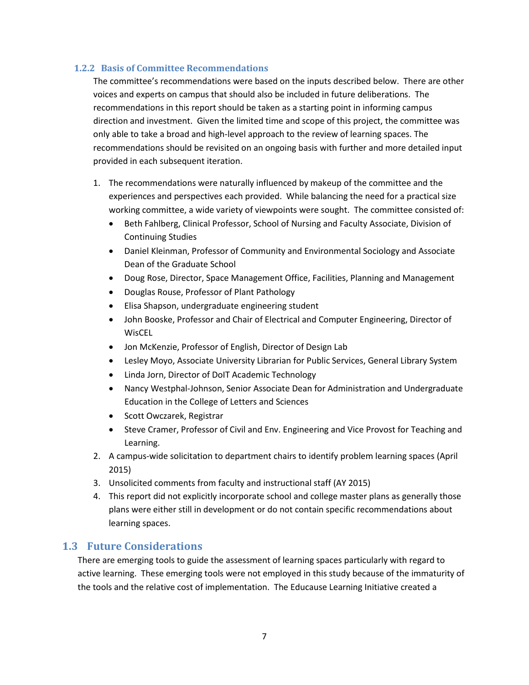#### **1.2.2 Basis of Committee Recommendations**

The committee's recommendations were based on the inputs described below. There are other voices and experts on campus that should also be included in future deliberations. The recommendations in this report should be taken as a starting point in informing campus direction and investment. Given the limited time and scope of this project, the committee was only able to take a broad and high-level approach to the review of learning spaces. The recommendations should be revisited on an ongoing basis with further and more detailed input provided in each subsequent iteration.

- 1. The recommendations were naturally influenced by makeup of the committee and the experiences and perspectives each provided. While balancing the need for a practical size working committee, a wide variety of viewpoints were sought. The committee consisted of:
	- Beth Fahlberg, Clinical Professor, School of Nursing and Faculty Associate, Division of Continuing Studies
	- Daniel Kleinman, Professor of Community and Environmental Sociology and Associate Dean of the Graduate School
	- Doug Rose, Director, Space Management Office, Facilities, Planning and Management
	- Douglas Rouse, Professor of Plant Pathology
	- Elisa Shapson, undergraduate engineering student
	- John Booske, Professor and Chair of Electrical and Computer Engineering, Director of WisCEL
	- Jon McKenzie, Professor of English, Director of Design Lab
	- Lesley Moyo, Associate University Librarian for Public Services, General Library System
	- Linda Jorn, Director of DoIT Academic Technology
	- Nancy Westphal-Johnson, Senior Associate Dean for Administration and Undergraduate Education in the College of Letters and Sciences
	- Scott Owczarek, Registrar
	- Steve Cramer, Professor of Civil and Env. Engineering and Vice Provost for Teaching and Learning.
- 2. A campus-wide solicitation to department chairs to identify problem learning spaces (April 2015)
- 3. Unsolicited comments from faculty and instructional staff (AY 2015)
- 4. This report did not explicitly incorporate school and college master plans as generally those plans were either still in development or do not contain specific recommendations about learning spaces.

### **1.3 Future Considerations**

There are emerging tools to guide the assessment of learning spaces particularly with regard to active learning. These emerging tools were not employed in this study because of the immaturity of the tools and the relative cost of implementation. The Educause Learning Initiative created a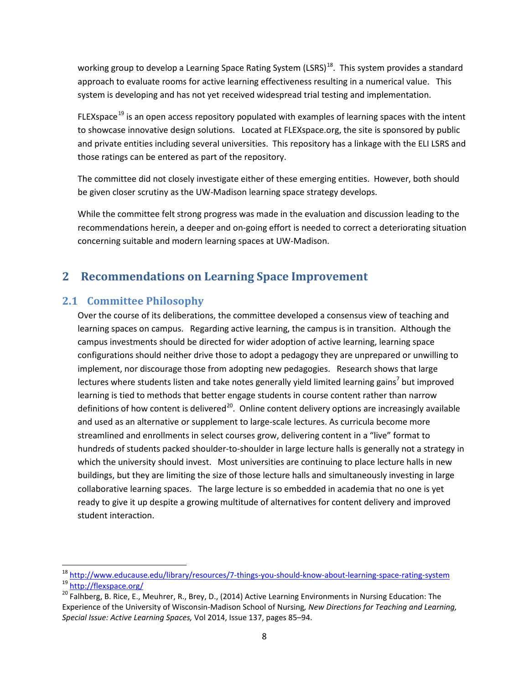working group to develop a Learning Space Rating System (LSRS)<sup>18</sup>. This system provides a standard approach to evaluate rooms for active learning effectiveness resulting in a numerical value. This system is developing and has not yet received widespread trial testing and implementation.

FLEXspace<sup>[19](#page-7-1)</sup> is an open access repository populated with examples of learning spaces with the intent to showcase innovative design solutions. Located at FLEXspace.org, the site is sponsored by public and private entities including several universities. This repository has a linkage with the ELI LSRS and those ratings can be entered as part of the repository.

The committee did not closely investigate either of these emerging entities. However, both should be given closer scrutiny as the UW-Madison learning space strategy develops.

While the committee felt strong progress was made in the evaluation and discussion leading to the recommendations herein, a deeper and on-going effort is needed to correct a deteriorating situation concerning suitable and modern learning spaces at UW-Madison.

## **2 Recommendations on Learning Space Improvement**

## **2.1 Committee Philosophy**

Over the course of its deliberations, the committee developed a consensus view of teaching and learning spaces on campus. Regarding active learning, the campus is in transition. Although the campus investments should be directed for wider adoption of active learning, learning space configurations should neither drive those to adopt a pedagogy they are unprepared or unwilling to implement, nor discourage those from adopting new pedagogies. Research shows that large lectures where students listen and take notes generally yield limited learning gains<sup>7</sup> but improved learning is tied to methods that better engage students in course content rather than narrow definitions of how content is delivered<sup>20</sup>. Online content delivery options are increasingly available and used as an alternative or supplement to large-scale lectures. As curricula become more streamlined and enrollments in select courses grow, delivering content in a "live" format to hundreds of students packed shoulder-to-shoulder in large lecture halls is generally not a strategy in which the university should invest. Most universities are continuing to place lecture halls in new buildings, but they are limiting the size of those lecture halls and simultaneously investing in large collaborative learning spaces. The large lecture is so embedded in academia that no one is yet ready to give it up despite a growing multitude of alternatives for content delivery and improved student interaction.

 $^{18}$  <http://www.educause.edu/library/resources/7-things-you-should-know-about-learning-space-rating-system><br> $^{19}$  <http://flexspace.org/><br> $^{20}$  Falhberg, B. Rice, E., Meuhrer, R., Brey, D., (2014) Active Learning Environ

<span id="page-7-2"></span><span id="page-7-1"></span><span id="page-7-0"></span>Experience of the University of Wisconsin-Madison School of Nursing*, New Directions for Teaching and Learning, Special Issue: Active Learning Spaces,* Vol 2014, Issue 137, pages 85–94.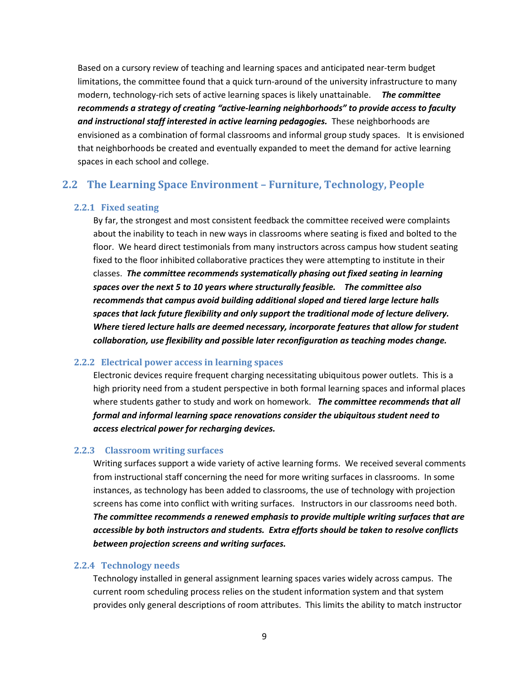Based on a cursory review of teaching and learning spaces and anticipated near-term budget limitations, the committee found that a quick turn-around of the university infrastructure to many modern, technology-rich sets of active learning spaces is likely unattainable. *The committee recommends a strategy of creating "active-learning neighborhoods" to provide access to faculty and instructional staff interested in active learning pedagogies.* These neighborhoods are envisioned as a combination of formal classrooms and informal group study spaces. It is envisioned that neighborhoods be created and eventually expanded to meet the demand for active learning spaces in each school and college.

#### **2.2 The Learning Space Environment – Furniture, Technology, People**

#### **2.2.1 Fixed seating**

By far, the strongest and most consistent feedback the committee received were complaints about the inability to teach in new ways in classrooms where seating is fixed and bolted to the floor. We heard direct testimonials from many instructors across campus how student seating fixed to the floor inhibited collaborative practices they were attempting to institute in their classes. *The committee recommends systematically phasing out fixed seating in learning spaces over the next 5 to 10 years where structurally feasible. The committee also recommends that campus avoid building additional sloped and tiered large lecture halls spaces that lack future flexibility and only support the traditional mode of lecture delivery. Where tiered lecture halls are deemed necessary, incorporate features that allow for student collaboration, use flexibility and possible later reconfiguration as teaching modes change.* 

#### **2.2.2 Electrical power access in learning spaces**

Electronic devices require frequent charging necessitating ubiquitous power outlets. This is a high priority need from a student perspective in both formal learning spaces and informal places where students gather to study and work on homework. *The committee recommends that all formal and informal learning space renovations consider the ubiquitous student need to access electrical power for recharging devices.*

#### **2.2.3 Classroom writing surfaces**

Writing surfaces support a wide variety of active learning forms. We received several comments from instructional staff concerning the need for more writing surfaces in classrooms. In some instances, as technology has been added to classrooms, the use of technology with projection screens has come into conflict with writing surfaces. Instructors in our classrooms need both. *The committee recommends a renewed emphasis to provide multiple writing surfaces that are accessible by both instructors and students. Extra efforts should be taken to resolve conflicts between projection screens and writing surfaces.*

#### **2.2.4 Technology needs**

Technology installed in general assignment learning spaces varies widely across campus. The current room scheduling process relies on the student information system and that system provides only general descriptions of room attributes. This limits the ability to match instructor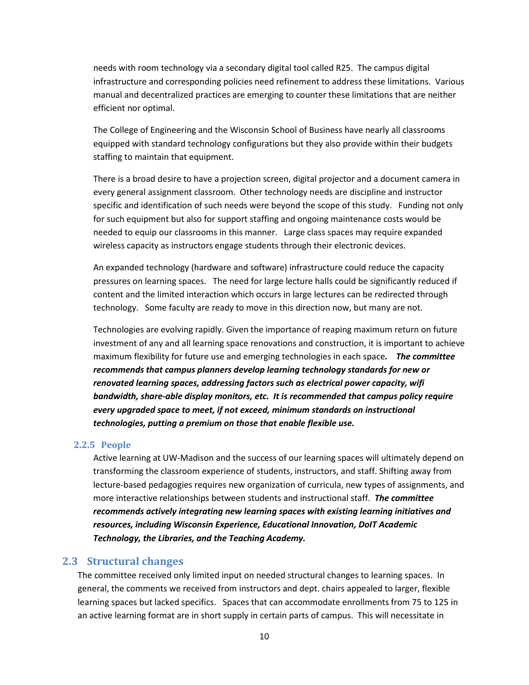needs with room technology via a secondary digital tool called R25. The campus digital infrastructure and corresponding policies need refinement to address these limitations. Various manual and decentralized practices are emerging to counter these limitations that are neither efficient nor optimal.

The College of Engineering and the Wisconsin School of Business have nearly all classrooms equipped with standard technology configurations but they also provide within their budgets staffing to maintain that equipment.

There is a broad desire to have a projection screen, digital projector and a document camera in every general assignment classroom. Other technology needs are discipline and instructor specific and identification of such needs were beyond the scope of this study. Funding not only for such equipment but also for support staffing and ongoing maintenance costs would be needed to equip our classrooms in this manner. Large class spaces may require expanded wireless capacity as instructors engage students through their electronic devices.

An expanded technology (hardware and software) infrastructure could reduce the capacity pressures on learning spaces. The need for large lecture halls could be significantly reduced if content and the limited interaction which occurs in large lectures can be redirected through technology. Some faculty are ready to move in this direction now, but many are not.

Technologies are evolving rapidly. Given the importance of reaping maximum return on future investment of any and all learning space renovations and construction, it is important to achieve maximum flexibility for future use and emerging technologies in each space*. The committee recommends that campus planners develop learning technology standards for new or renovated learning spaces, addressing factors such as electrical power capacity, wifi bandwidth, share-able display monitors, etc. It is recommended that campus policy require every upgraded space to meet, if not exceed, minimum standards on instructional technologies, putting a premium on those that enable flexible use.*

#### **2.2.5 People**

Active learning at UW-Madison and the success of our learning spaces will ultimately depend on transforming the classroom experience of students, instructors, and staff. Shifting away from lecture-based pedagogies requires new organization of curricula, new types of assignments, and more interactive relationships between students and instructional staff. *The committee recommends actively integrating new learning spaces with existing learning initiatives and resources, including Wisconsin Experience, Educational Innovation, DoIT Academic Technology, the Libraries, and the Teaching Academy.*

#### **2.3 Structural changes**

The committee received only limited input on needed structural changes to learning spaces. In general, the comments we received from instructors and dept. chairs appealed to larger, flexible learning spaces but lacked specifics. Spaces that can accommodate enrollments from 75 to 125 in an active learning format are in short supply in certain parts of campus. This will necessitate in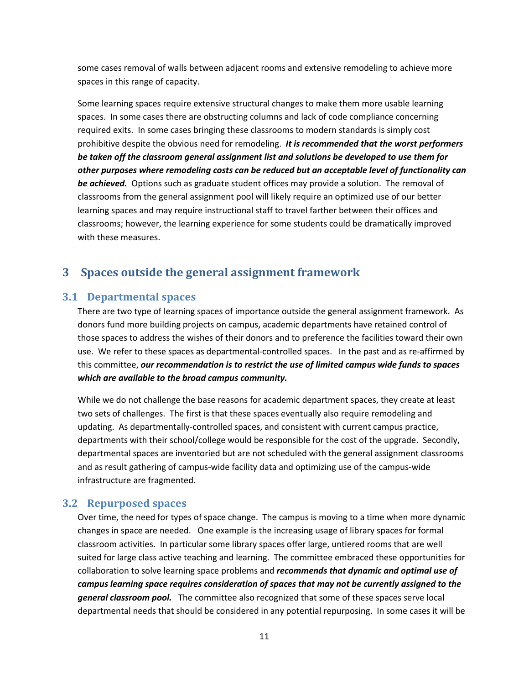some cases removal of walls between adjacent rooms and extensive remodeling to achieve more spaces in this range of capacity.

Some learning spaces require extensive structural changes to make them more usable learning spaces. In some cases there are obstructing columns and lack of code compliance concerning required exits. In some cases bringing these classrooms to modern standards is simply cost prohibitive despite the obvious need for remodeling. *It is recommended that the worst performers be taken off the classroom general assignment list and solutions be developed to use them for other purposes where remodeling costs can be reduced but an acceptable level of functionality can be achieved.* Options such as graduate student offices may provide a solution. The removal of classrooms from the general assignment pool will likely require an optimized use of our better learning spaces and may require instructional staff to travel farther between their offices and classrooms; however, the learning experience for some students could be dramatically improved with these measures.

## **3 Spaces outside the general assignment framework**

#### **3.1 Departmental spaces**

There are two type of learning spaces of importance outside the general assignment framework. As donors fund more building projects on campus, academic departments have retained control of those spaces to address the wishes of their donors and to preference the facilities toward their own use. We refer to these spaces as departmental-controlled spaces. In the past and as re-affirmed by this committee, *our recommendation is to restrict the use of limited campus wide funds to spaces which are available to the broad campus community.*

While we do not challenge the base reasons for academic department spaces, they create at least two sets of challenges. The first is that these spaces eventually also require remodeling and updating. As departmentally-controlled spaces, and consistent with current campus practice, departments with their school/college would be responsible for the cost of the upgrade. Secondly, departmental spaces are inventoried but are not scheduled with the general assignment classrooms and as result gathering of campus-wide facility data and optimizing use of the campus-wide infrastructure are fragmented.

#### **3.2 Repurposed spaces**

Over time, the need for types of space change. The campus is moving to a time when more dynamic changes in space are needed. One example is the increasing usage of library spaces for formal classroom activities. In particular some library spaces offer large, untiered rooms that are well suited for large class active teaching and learning. The committee embraced these opportunities for collaboration to solve learning space problems and *recommends that dynamic and optimal use of campus learning space requires consideration of spaces that may not be currently assigned to the general classroom pool.* The committee also recognized that some of these spaces serve local departmental needs that should be considered in any potential repurposing. In some cases it will be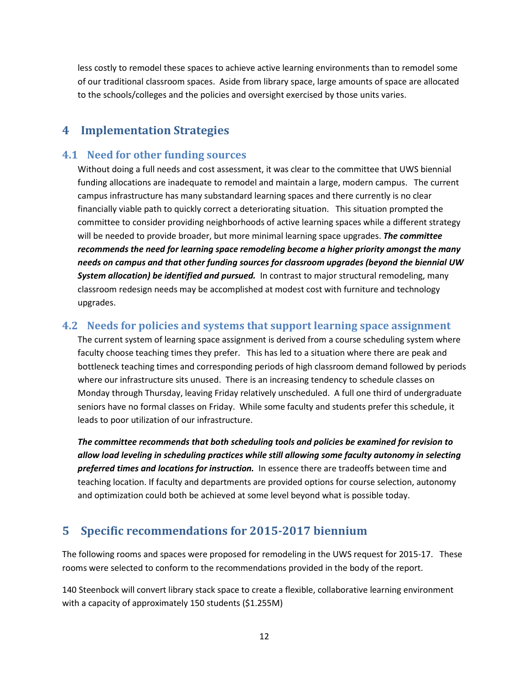less costly to remodel these spaces to achieve active learning environments than to remodel some of our traditional classroom spaces. Aside from library space, large amounts of space are allocated to the schools/colleges and the policies and oversight exercised by those units varies.

## **4 Implementation Strategies**

## **4.1 Need for other funding sources**

Without doing a full needs and cost assessment, it was clear to the committee that UWS biennial funding allocations are inadequate to remodel and maintain a large, modern campus. The current campus infrastructure has many substandard learning spaces and there currently is no clear financially viable path to quickly correct a deteriorating situation. This situation prompted the committee to consider providing neighborhoods of active learning spaces while a different strategy will be needed to provide broader, but more minimal learning space upgrades. *The committee recommends the need for learning space remodeling become a higher priority amongst the many needs on campus and that other funding sources for classroom upgrades (beyond the biennial UW System allocation) be identified and pursued.* In contrast to major structural remodeling, many classroom redesign needs may be accomplished at modest cost with furniture and technology upgrades.

## **4.2 Needs for policies and systems that support learning space assignment**

The current system of learning space assignment is derived from a course scheduling system where faculty choose teaching times they prefer. This has led to a situation where there are peak and bottleneck teaching times and corresponding periods of high classroom demand followed by periods where our infrastructure sits unused. There is an increasing tendency to schedule classes on Monday through Thursday, leaving Friday relatively unscheduled. A full one third of undergraduate seniors have no formal classes on Friday. While some faculty and students prefer this schedule, it leads to poor utilization of our infrastructure.

*The committee recommends that both scheduling tools and policies be examined for revision to allow load leveling in scheduling practices while still allowing some faculty autonomy in selecting preferred times and locations for instruction.* In essence there are tradeoffs between time and teaching location. If faculty and departments are provided options for course selection, autonomy and optimization could both be achieved at some level beyond what is possible today.

## **5 Specific recommendations for 2015-2017 biennium**

The following rooms and spaces were proposed for remodeling in the UWS request for 2015-17. These rooms were selected to conform to the recommendations provided in the body of the report.

140 Steenbock will convert library stack space to create a flexible, collaborative learning environment with a capacity of approximately 150 students (\$1.255M)